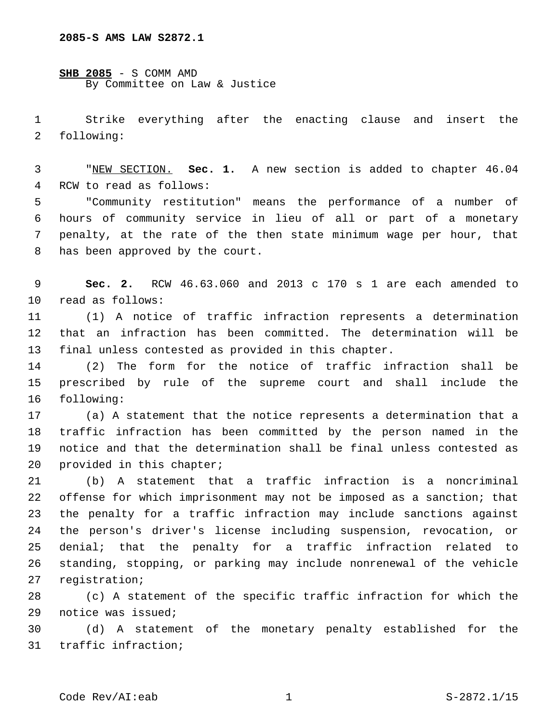**SHB 2085** - S COMM AMD By Committee on Law & Justice

 Strike everything after the enacting clause and insert the 2 following:

 "NEW SECTION. **Sec. 1.** A new section is added to chapter 46.04 4 RCW to read as follows:

 "Community restitution" means the performance of a number of hours of community service in lieu of all or part of a monetary penalty, at the rate of the then state minimum wage per hour, that 8 has been approved by the court.

 **Sec. 2.** RCW 46.63.060 and 2013 c 170 s 1 are each amended to 10 read as follows:

 (1) A notice of traffic infraction represents a determination that an infraction has been committed. The determination will be final unless contested as provided in this chapter.

 (2) The form for the notice of traffic infraction shall be prescribed by rule of the supreme court and shall include the 16 following:

 (a) A statement that the notice represents a determination that a traffic infraction has been committed by the person named in the notice and that the determination shall be final unless contested as 20 provided in this chapter;

 (b) A statement that a traffic infraction is a noncriminal offense for which imprisonment may not be imposed as a sanction; that the penalty for a traffic infraction may include sanctions against the person's driver's license including suspension, revocation, or denial; that the penalty for a traffic infraction related to standing, stopping, or parking may include nonrenewal of the vehicle 27 registration;

 (c) A statement of the specific traffic infraction for which the 29 notice was issued;

 (d) A statement of the monetary penalty established for the 31 traffic infraction;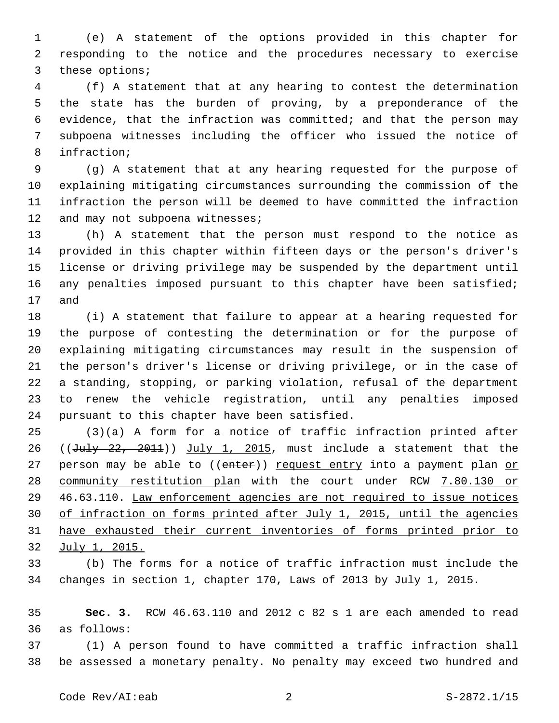(e) A statement of the options provided in this chapter for responding to the notice and the procedures necessary to exercise 3 these options;

 (f) A statement that at any hearing to contest the determination the state has the burden of proving, by a preponderance of the evidence, that the infraction was committed; and that the person may subpoena witnesses including the officer who issued the notice of 8 infraction;

 (g) A statement that at any hearing requested for the purpose of explaining mitigating circumstances surrounding the commission of the infraction the person will be deemed to have committed the infraction 12 and may not subpoena witnesses;

 (h) A statement that the person must respond to the notice as provided in this chapter within fifteen days or the person's driver's license or driving privilege may be suspended by the department until 16 any penalties imposed pursuant to this chapter have been satisfied; 17 and

 (i) A statement that failure to appear at a hearing requested for the purpose of contesting the determination or for the purpose of explaining mitigating circumstances may result in the suspension of the person's driver's license or driving privilege, or in the case of a standing, stopping, or parking violation, refusal of the department to renew the vehicle registration, until any penalties imposed 24 pursuant to this chapter have been satisfied.

 (3)(a) A form for a notice of traffic infraction printed after 26 ( $(Ju1y - 22, 2011)$ ) July 1, 2015, must include a statement that the 27 person may be able to ((enter)) request entry into a payment plan or community restitution plan with the court under RCW 7.80.130 or 46.63.110. Law enforcement agencies are not required to issue notices of infraction on forms printed after July 1, 2015, until the agencies have exhausted their current inventories of forms printed prior to July 1, 2015.

 (b) The forms for a notice of traffic infraction must include the changes in section 1, chapter 170, Laws of 2013 by July 1, 2015.

 **Sec. 3.** RCW 46.63.110 and 2012 c 82 s 1 are each amended to read as follows:36

 (1) A person found to have committed a traffic infraction shall be assessed a monetary penalty. No penalty may exceed two hundred and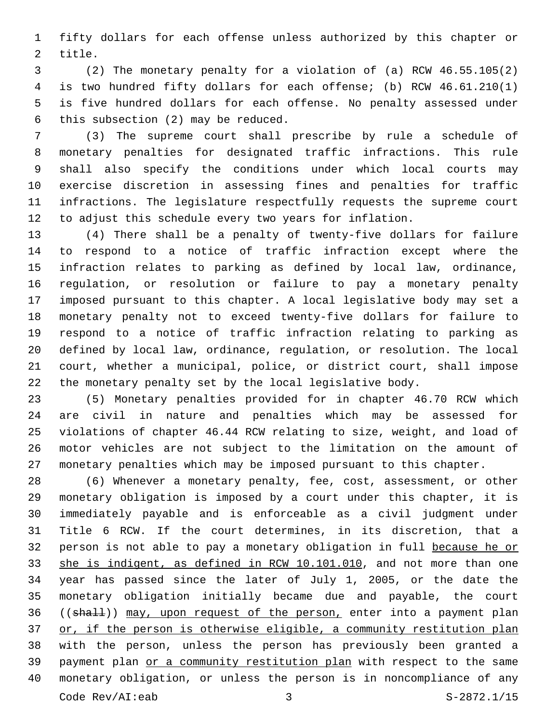fifty dollars for each offense unless authorized by this chapter or 2 title.

 (2) The monetary penalty for a violation of (a) RCW 46.55.105(2) is two hundred fifty dollars for each offense; (b) RCW 46.61.210(1) is five hundred dollars for each offense. No penalty assessed under 6 this subsection  $(2)$  may be reduced.

 (3) The supreme court shall prescribe by rule a schedule of monetary penalties for designated traffic infractions. This rule shall also specify the conditions under which local courts may exercise discretion in assessing fines and penalties for traffic infractions. The legislature respectfully requests the supreme court to adjust this schedule every two years for inflation.

 (4) There shall be a penalty of twenty-five dollars for failure to respond to a notice of traffic infraction except where the infraction relates to parking as defined by local law, ordinance, regulation, or resolution or failure to pay a monetary penalty imposed pursuant to this chapter. A local legislative body may set a monetary penalty not to exceed twenty-five dollars for failure to respond to a notice of traffic infraction relating to parking as defined by local law, ordinance, regulation, or resolution. The local court, whether a municipal, police, or district court, shall impose the monetary penalty set by the local legislative body.

 (5) Monetary penalties provided for in chapter 46.70 RCW which are civil in nature and penalties which may be assessed for violations of chapter 46.44 RCW relating to size, weight, and load of motor vehicles are not subject to the limitation on the amount of monetary penalties which may be imposed pursuant to this chapter.

 (6) Whenever a monetary penalty, fee, cost, assessment, or other monetary obligation is imposed by a court under this chapter, it is immediately payable and is enforceable as a civil judgment under Title 6 RCW. If the court determines, in its discretion, that a person is not able to pay a monetary obligation in full because he or 33 she is indigent, as defined in RCW 10.101.010, and not more than one year has passed since the later of July 1, 2005, or the date the monetary obligation initially became due and payable, the court 36 ((shall)) may, upon request of the person, enter into a payment plan or, if the person is otherwise eligible, a community restitution plan with the person, unless the person has previously been granted a payment plan or a community restitution plan with respect to the same monetary obligation, or unless the person is in noncompliance of any Code Rev/AI:eab 3 S-2872.1/15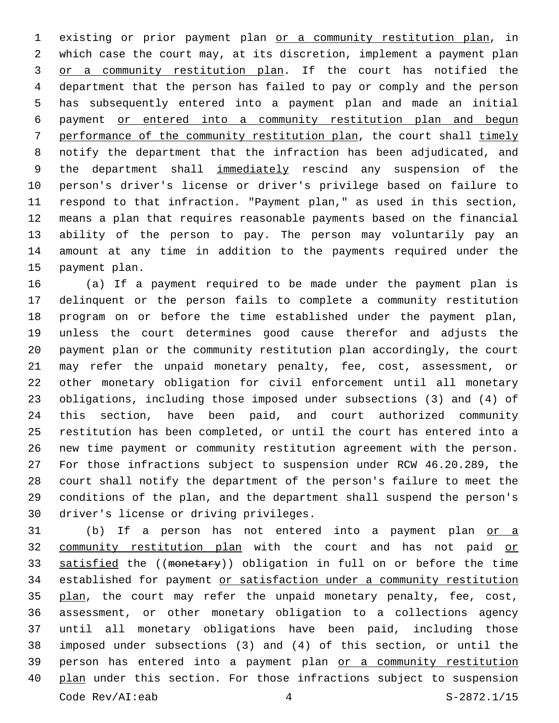existing or prior payment plan or a community restitution plan, in which case the court may, at its discretion, implement a payment plan 3 or a community restitution plan. If the court has notified the department that the person has failed to pay or comply and the person has subsequently entered into a payment plan and made an initial payment or entered into a community restitution plan and begun performance of the community restitution plan, the court shall timely notify the department that the infraction has been adjudicated, and 9 the department shall immediately rescind any suspension of the person's driver's license or driver's privilege based on failure to respond to that infraction. "Payment plan," as used in this section, means a plan that requires reasonable payments based on the financial ability of the person to pay. The person may voluntarily pay an amount at any time in addition to the payments required under the 15 payment plan.

 (a) If a payment required to be made under the payment plan is delinquent or the person fails to complete a community restitution program on or before the time established under the payment plan, unless the court determines good cause therefor and adjusts the payment plan or the community restitution plan accordingly, the court may refer the unpaid monetary penalty, fee, cost, assessment, or other monetary obligation for civil enforcement until all monetary obligations, including those imposed under subsections (3) and (4) of this section, have been paid, and court authorized community restitution has been completed, or until the court has entered into a new time payment or community restitution agreement with the person. For those infractions subject to suspension under RCW 46.20.289, the court shall notify the department of the person's failure to meet the conditions of the plan, and the department shall suspend the person's 30 driver's license or driving privileges.

31 (b) If a person has not entered into a payment plan or a 32 community restitution plan with the court and has not paid or 33 satisfied the ((monetary)) obligation in full on or before the time established for payment or satisfaction under a community restitution 35 plan, the court may refer the unpaid monetary penalty, fee, cost, assessment, or other monetary obligation to a collections agency until all monetary obligations have been paid, including those imposed under subsections (3) and (4) of this section, or until the person has entered into a payment plan or a community restitution 40 plan under this section. For those infractions subject to suspension Code  $Rev/AI: eab$   $4$   $S-2872.1/15$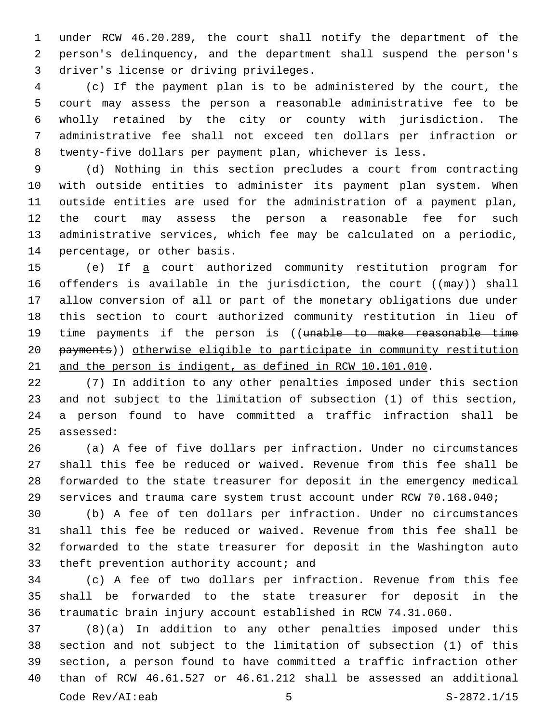under RCW 46.20.289, the court shall notify the department of the person's delinquency, and the department shall suspend the person's 3 driver's license or driving privileges.

 (c) If the payment plan is to be administered by the court, the court may assess the person a reasonable administrative fee to be wholly retained by the city or county with jurisdiction. The administrative fee shall not exceed ten dollars per infraction or twenty-five dollars per payment plan, whichever is less.

 (d) Nothing in this section precludes a court from contracting with outside entities to administer its payment plan system. When outside entities are used for the administration of a payment plan, the court may assess the person a reasonable fee for such administrative services, which fee may be calculated on a periodic, 14 percentage, or other basis.

 (e) If a court authorized community restitution program for 16 offenders is available in the jurisdiction, the court ((may)) shall allow conversion of all or part of the monetary obligations due under this section to court authorized community restitution in lieu of 19 time payments if the person is ((unable to make reasonable time payments)) otherwise eligible to participate in community restitution 21 and the person is indigent, as defined in RCW 10.101.010.

 (7) In addition to any other penalties imposed under this section and not subject to the limitation of subsection (1) of this section, a person found to have committed a traffic infraction shall be 25 assessed:

 (a) A fee of five dollars per infraction. Under no circumstances shall this fee be reduced or waived. Revenue from this fee shall be forwarded to the state treasurer for deposit in the emergency medical services and trauma care system trust account under RCW 70.168.040;

 (b) A fee of ten dollars per infraction. Under no circumstances shall this fee be reduced or waived. Revenue from this fee shall be forwarded to the state treasurer for deposit in the Washington auto 33 theft prevention authority account; and

 (c) A fee of two dollars per infraction. Revenue from this fee shall be forwarded to the state treasurer for deposit in the traumatic brain injury account established in RCW 74.31.060.

 (8)(a) In addition to any other penalties imposed under this section and not subject to the limitation of subsection (1) of this section, a person found to have committed a traffic infraction other than of RCW 46.61.527 or 46.61.212 shall be assessed an additional Code  $Rev/AI: eab$  5  $S-2872.1/15$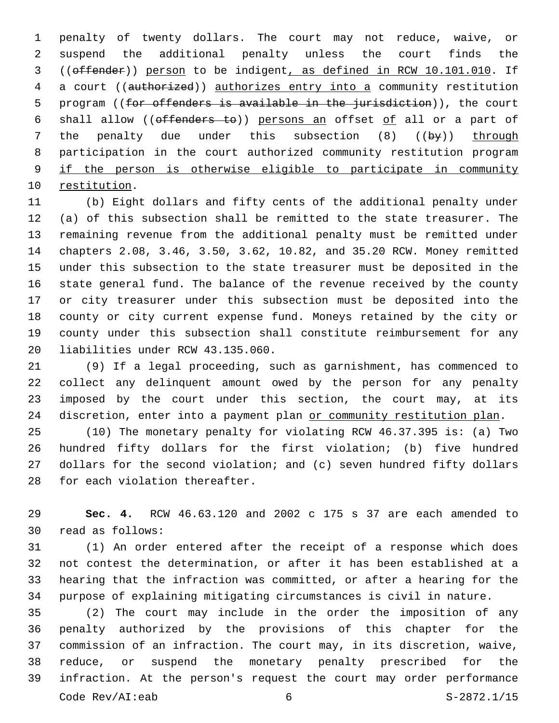penalty of twenty dollars. The court may not reduce, waive, or suspend the additional penalty unless the court finds the ((offender)) person to be indigent, as defined in RCW 10.101.010. If a court ((authorized)) authorizes entry into a community restitution 5 program ((for offenders is available in the jurisdiction)), the court shall allow ((offenders to)) persons an offset of all or a part of the penalty due under this subsection (8) ((by)) through participation in the court authorized community restitution program if the person is otherwise eligible to participate in community 10 restitution.

 (b) Eight dollars and fifty cents of the additional penalty under (a) of this subsection shall be remitted to the state treasurer. The remaining revenue from the additional penalty must be remitted under chapters 2.08, 3.46, 3.50, 3.62, 10.82, and 35.20 RCW. Money remitted under this subsection to the state treasurer must be deposited in the state general fund. The balance of the revenue received by the county or city treasurer under this subsection must be deposited into the county or city current expense fund. Moneys retained by the city or county under this subsection shall constitute reimbursement for any 20 liabilities under RCW 43.135.060.

 (9) If a legal proceeding, such as garnishment, has commenced to collect any delinquent amount owed by the person for any penalty imposed by the court under this section, the court may, at its 24 discretion, enter into a payment plan or community restitution plan.

 (10) The monetary penalty for violating RCW 46.37.395 is: (a) Two hundred fifty dollars for the first violation; (b) five hundred dollars for the second violation; and (c) seven hundred fifty dollars 28 for each violation thereafter.

 **Sec. 4.** RCW 46.63.120 and 2002 c 175 s 37 are each amended to 30 read as follows:

 (1) An order entered after the receipt of a response which does not contest the determination, or after it has been established at a hearing that the infraction was committed, or after a hearing for the purpose of explaining mitigating circumstances is civil in nature.

 (2) The court may include in the order the imposition of any penalty authorized by the provisions of this chapter for the commission of an infraction. The court may, in its discretion, waive, reduce, or suspend the monetary penalty prescribed for the infraction. At the person's request the court may order performance Code Rev/AI:eab 6 S-2872.1/15